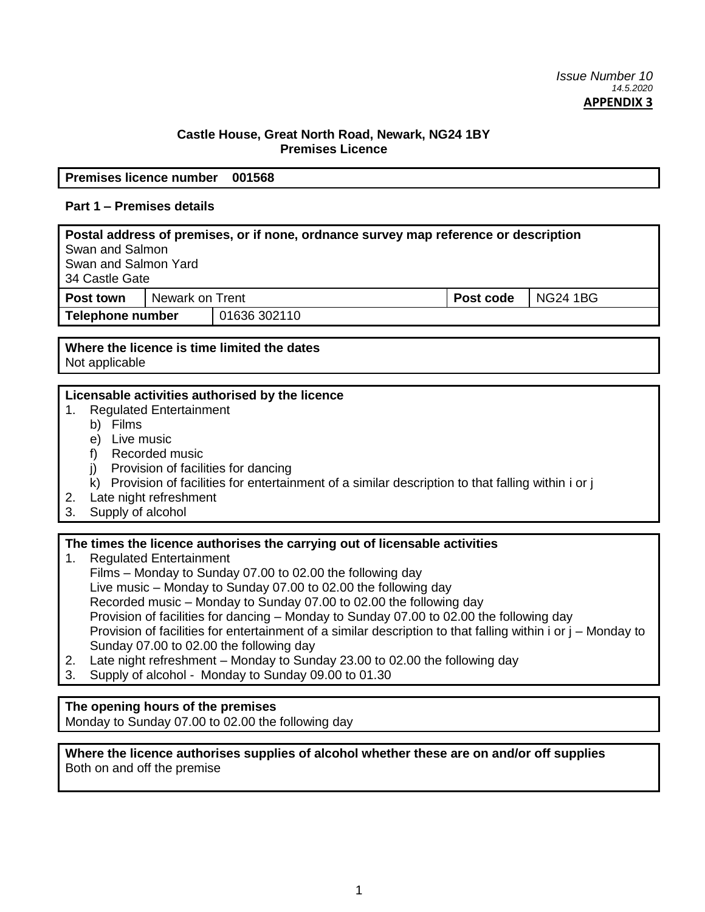## **Castle House, Great North Road, Newark, NG24 1BY Premises Licence**

### **Premises licence number 001568**

## **Part 1 – Premises details**

| Postal address of premises, or if none, ordnance survey map reference or description<br>Swan and Salmon<br>Swan and Salmon Yard<br>34 Castle Gate                                                                                                                                                                                                                                                                                                                                                                                                                                                                                                                                                                                  |                                                 |              |  |  |
|------------------------------------------------------------------------------------------------------------------------------------------------------------------------------------------------------------------------------------------------------------------------------------------------------------------------------------------------------------------------------------------------------------------------------------------------------------------------------------------------------------------------------------------------------------------------------------------------------------------------------------------------------------------------------------------------------------------------------------|-------------------------------------------------|--------------|--|--|
| Post town                                                                                                                                                                                                                                                                                                                                                                                                                                                                                                                                                                                                                                                                                                                          | Newark on Trent<br><b>NG24 1BG</b><br>Post code |              |  |  |
| <b>Telephone number</b>                                                                                                                                                                                                                                                                                                                                                                                                                                                                                                                                                                                                                                                                                                            |                                                 | 01636 302110 |  |  |
| Where the licence is time limited the dates                                                                                                                                                                                                                                                                                                                                                                                                                                                                                                                                                                                                                                                                                        |                                                 |              |  |  |
| Not applicable                                                                                                                                                                                                                                                                                                                                                                                                                                                                                                                                                                                                                                                                                                                     |                                                 |              |  |  |
|                                                                                                                                                                                                                                                                                                                                                                                                                                                                                                                                                                                                                                                                                                                                    |                                                 |              |  |  |
| Licensable activities authorised by the licence<br><b>Regulated Entertainment</b><br>1.<br>b) Films<br>e) Live music<br><b>Recorded music</b><br>f<br>Provision of facilities for dancing<br>j)<br>k) Provision of facilities for entertainment of a similar description to that falling within i or j<br>Late night refreshment<br>2.<br>Supply of alcohol<br>3.                                                                                                                                                                                                                                                                                                                                                                  |                                                 |              |  |  |
| The times the licence authorises the carrying out of licensable activities<br><b>Regulated Entertainment</b><br>1.<br>Films - Monday to Sunday 07.00 to 02.00 the following day<br>Live music - Monday to Sunday 07.00 to 02.00 the following day<br>Recorded music – Monday to Sunday 07.00 to 02.00 the following day<br>Provision of facilities for dancing - Monday to Sunday 07.00 to 02.00 the following day<br>Provision of facilities for entertainment of a similar description to that falling within $i$ or $j$ – Monday to<br>Sunday 07.00 to 02.00 the following day<br>Late night refreshment - Monday to Sunday 23.00 to 02.00 the following day<br>2.<br>Supply of alcohol - Monday to Sunday 09.00 to 01.30<br>3. |                                                 |              |  |  |
| The opening hours of the premises<br>Monday to Sunday 07.00 to 02.00 the following day                                                                                                                                                                                                                                                                                                                                                                                                                                                                                                                                                                                                                                             |                                                 |              |  |  |

**Where the licence authorises supplies of alcohol whether these are on and/or off supplies** Both on and off the premise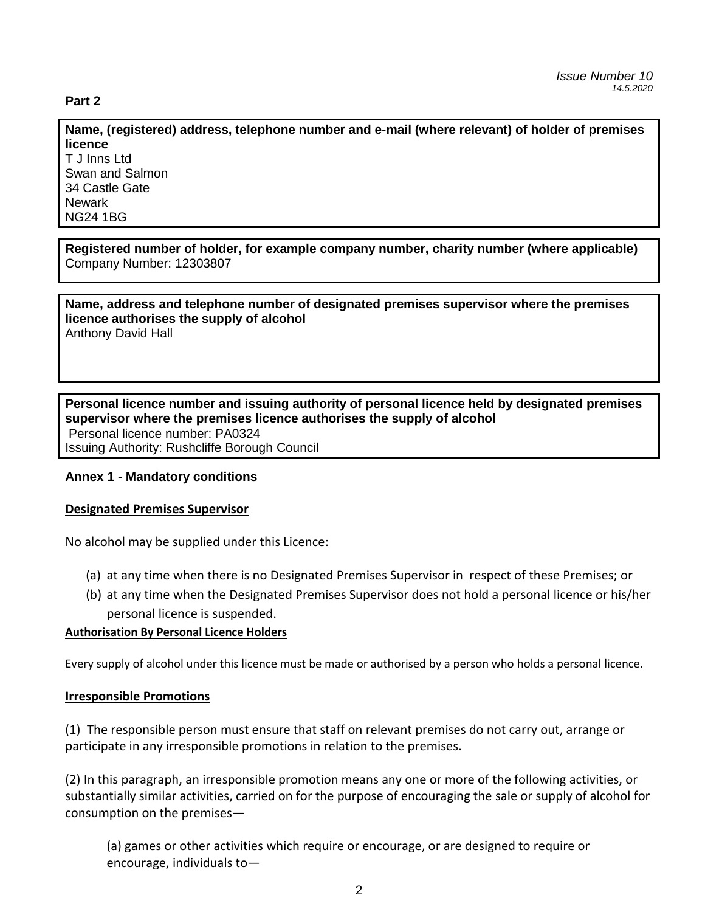## **Part 2**

**Name, (registered) address, telephone number and e-mail (where relevant) of holder of premises licence**

T J Inns Ltd Swan and Salmon 34 Castle Gate **Newark** NG24 1BG

**Registered number of holder, for example company number, charity number (where applicable)** Company Number: 12303807

**Name, address and telephone number of designated premises supervisor where the premises licence authorises the supply of alcohol** Anthony David Hall

**Personal licence number and issuing authority of personal licence held by designated premises supervisor where the premises licence authorises the supply of alcohol** Personal licence number: PA0324 Issuing Authority: Rushcliffe Borough Council

#### **Annex 1 - Mandatory conditions**

#### **Designated Premises Supervisor**

No alcohol may be supplied under this Licence:

- (a) at any time when there is no Designated Premises Supervisor in respect of these Premises; or
- (b) at any time when the Designated Premises Supervisor does not hold a personal licence or his/her personal licence is suspended.

#### **Authorisation By Personal Licence Holders**

Every supply of alcohol under this licence must be made or authorised by a person who holds a personal licence.

#### **Irresponsible Promotions**

(1) The responsible person must ensure that staff on relevant premises do not carry out, arrange or participate in any irresponsible promotions in relation to the premises.

(2) In this paragraph, an irresponsible promotion means any one or more of the following activities, or substantially similar activities, carried on for the purpose of encouraging the sale or supply of alcohol for consumption on the premises—

(a) games or other activities which require or encourage, or are designed to require or encourage, individuals to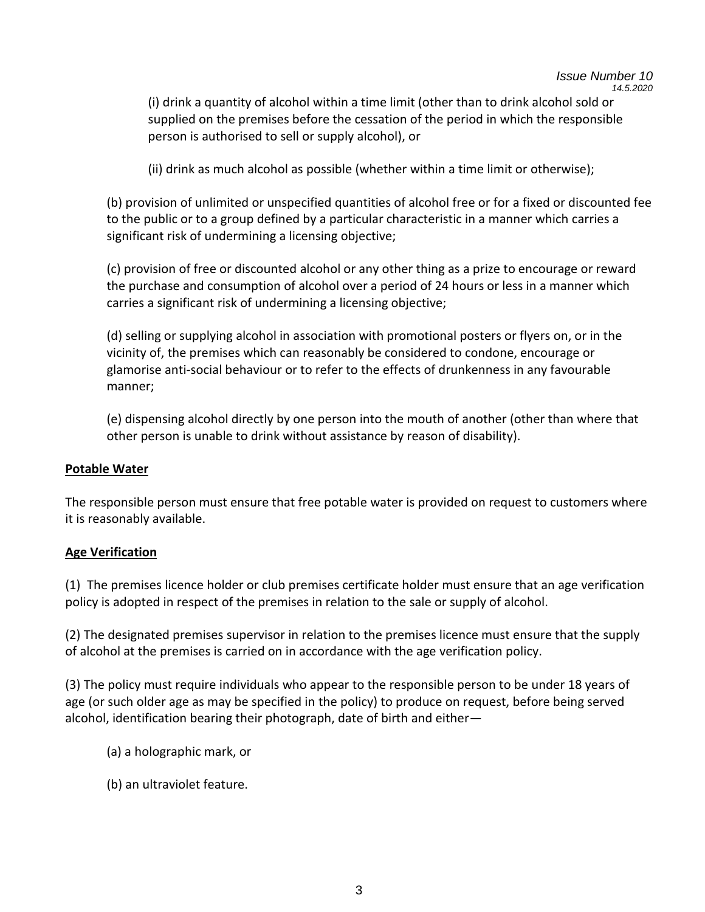(i) drink a quantity of alcohol within a time limit (other than to drink alcohol sold or supplied on the premises before the cessation of the period in which the responsible person is authorised to sell or supply alcohol), or

(ii) drink as much alcohol as possible (whether within a time limit or otherwise);

(b) provision of unlimited or unspecified quantities of alcohol free or for a fixed or discounted fee to the public or to a group defined by a particular characteristic in a manner which carries a significant risk of undermining a licensing objective;

(c) provision of free or discounted alcohol or any other thing as a prize to encourage or reward the purchase and consumption of alcohol over a period of 24 hours or less in a manner which carries a significant risk of undermining a licensing objective;

(d) selling or supplying alcohol in association with promotional posters or flyers on, or in the vicinity of, the premises which can reasonably be considered to condone, encourage or glamorise anti-social behaviour or to refer to the effects of drunkenness in any favourable manner;

(e) dispensing alcohol directly by one person into the mouth of another (other than where that other person is unable to drink without assistance by reason of disability).

# **Potable Water**

The responsible person must ensure that free potable water is provided on request to customers where it is reasonably available.

# **Age Verification**

(1) The premises licence holder or club premises certificate holder must ensure that an age verification policy is adopted in respect of the premises in relation to the sale or supply of alcohol.

(2) The designated premises supervisor in relation to the premises licence must ensure that the supply of alcohol at the premises is carried on in accordance with the age verification policy.

(3) The policy must require individuals who appear to the responsible person to be under 18 years of age (or such older age as may be specified in the policy) to produce on request, before being served alcohol, identification bearing their photograph, date of birth and either—

(a) a holographic mark, or

(b) an ultraviolet feature.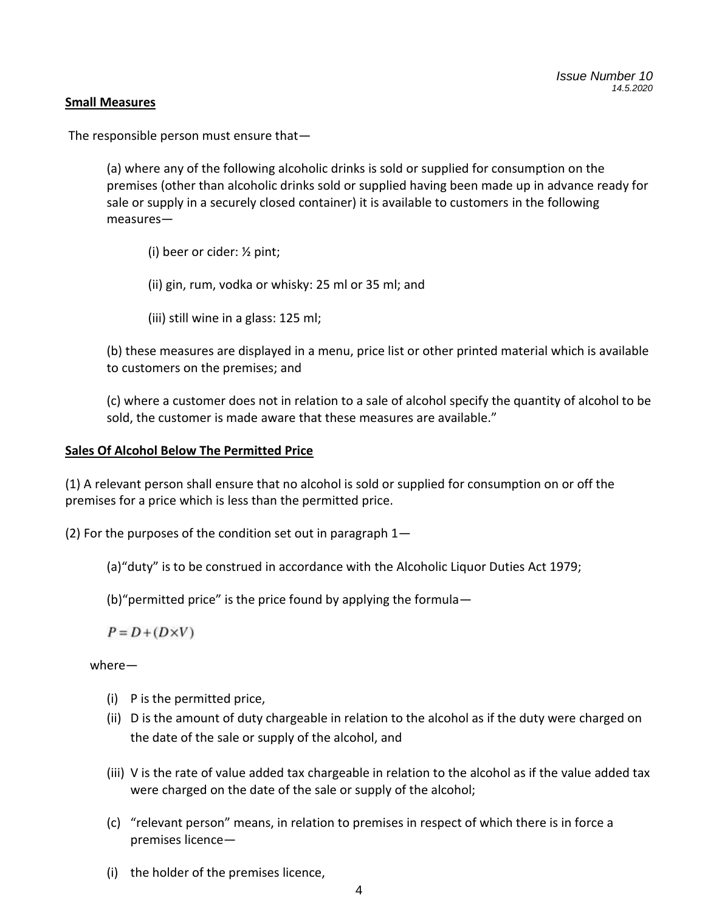## **Small Measures**

The responsible person must ensure that—

(a) where any of the following alcoholic drinks is sold or supplied for consumption on the premises (other than alcoholic drinks sold or supplied having been made up in advance ready for sale or supply in a securely closed container) it is available to customers in the following measures—

(i) beer or cider: ½ pint;

(ii) gin, rum, vodka or whisky: 25 ml or 35 ml; and

(iii) still wine in a glass: 125 ml;

(b) these measures are displayed in a menu, price list or other printed material which is available to customers on the premises; and

(c) where a customer does not in relation to a sale of alcohol specify the quantity of alcohol to be sold, the customer is made aware that these measures are available."

## **Sales Of Alcohol Below The Permitted Price**

(1) A relevant person shall ensure that no alcohol is sold or supplied for consumption on or off the premises for a price which is less than the permitted price.

(2) For the purposes of the condition set out in paragraph  $1-$ 

(a)"duty" is to be construed in accordance with the Alcoholic Liquor Duties Act 1979;

(b)"permitted price" is the price found by applying the formula—

 $P = D + (D \times V)$ 

where—

- (i) P is the permitted price,
- (ii) D is the amount of duty chargeable in relation to the alcohol as if the duty were charged on the date of the sale or supply of the alcohol, and
- (iii) V is the rate of value added tax chargeable in relation to the alcohol as if the value added tax were charged on the date of the sale or supply of the alcohol;
- (c) "relevant person" means, in relation to premises in respect of which there is in force a premises licence—
- (i) the holder of the premises licence,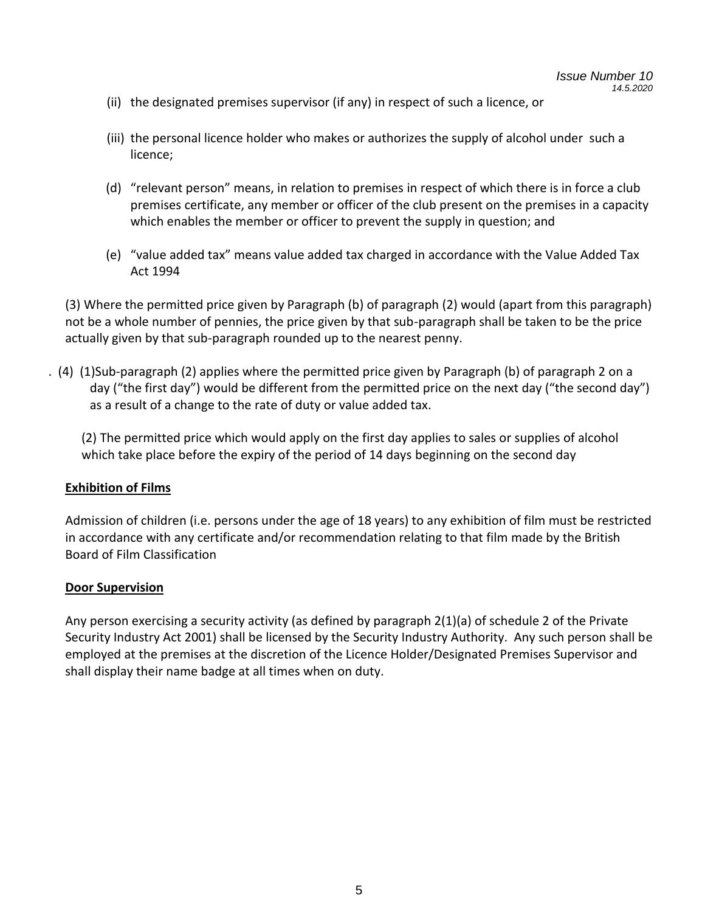- (ii) the designated premises supervisor (if any) in respect of such a licence, or
- (iii) the personal licence holder who makes or authorizes the supply of alcohol under such a licence;
- (d) "relevant person" means, in relation to premises in respect of which there is in force a club premises certificate, any member or officer of the club present on the premises in a capacity which enables the member or officer to prevent the supply in question; and
- (e) "value added tax" means value added tax charged in accordance with the Value Added Tax Act 1994

(3) Where the permitted price given by Paragraph (b) of paragraph (2) would (apart from this paragraph) not be a whole number of pennies, the price given by that sub-paragraph shall be taken to be the price actually given by that sub-paragraph rounded up to the nearest penny.

. (4) (1)Sub-paragraph (2) applies where the permitted price given by Paragraph (b) of paragraph 2 on a day ("the first day") would be different from the permitted price on the next day ("the second day") as a result of a change to the rate of duty or value added tax.

(2) The permitted price which would apply on the first day applies to sales or supplies of alcohol which take place before the expiry of the period of 14 days beginning on the second day

# **Exhibition of Films**

Admission of children (i.e. persons under the age of 18 years) to any exhibition of film must be restricted in accordance with any certificate and/or recommendation relating to that film made by the British Board of Film Classification

## **Door Supervision**

Any person exercising a security activity (as defined by paragraph 2(1)(a) of schedule 2 of the Private Security Industry Act 2001) shall be licensed by the Security Industry Authority. Any such person shall be employed at the premises at the discretion of the Licence Holder/Designated Premises Supervisor and shall display their name badge at all times when on duty.